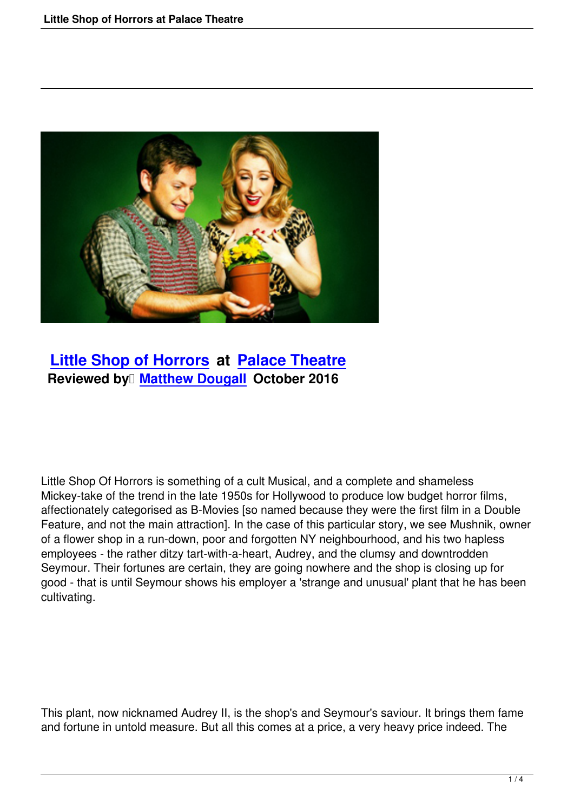

## **Little Shop of Horrors at Palace Theatre Reviewed by Matthew Dougall October 2016**

Little Shop Of Horrors is something of a cult Musical, and a complete and shameless Mickey-take of the trend in the late 1950s for Hollywood to produce low budget horror films, affectionately categorised as B-Movies [so named because they were the first film in a Double Feature, and not the main attraction]. In the case of this particular story, we see Mushnik, owner of a flower shop in a run-down, poor and forgotten NY neighbourhood, and his two hapless employees - the rather ditzy tart-with-a-heart, Audrey, and the clumsy and downtrodden Seymour. Their fortunes are certain, they are going nowhere and the shop is closing up for good - that is until Seymour shows his employer a 'strange and unusual' plant that he has been cultivating.

This plant, now nicknamed Audrey II, is the shop's and Seymour's saviour. It brings them fame and fortune in untold measure. But all this comes at a price, a very heavy price indeed. The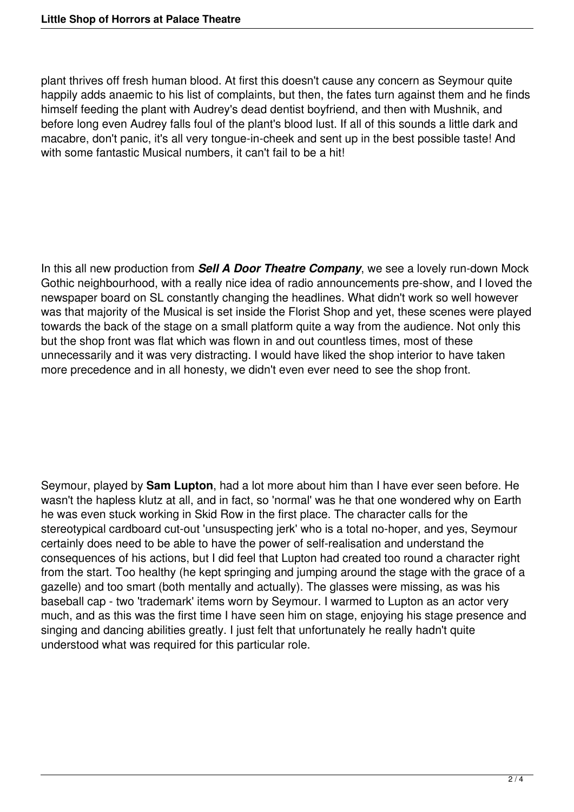plant thrives off fresh human blood. At first this doesn't cause any concern as Seymour quite happily adds anaemic to his list of complaints, but then, the fates turn against them and he finds himself feeding the plant with Audrey's dead dentist boyfriend, and then with Mushnik, and before long even Audrey falls foul of the plant's blood lust. If all of this sounds a little dark and macabre, don't panic, it's all very tongue-in-cheek and sent up in the best possible taste! And with some fantastic Musical numbers, it can't fail to be a hit!

In this all new production from *Sell A Door Theatre Company*, we see a lovely run-down Mock Gothic neighbourhood, with a really nice idea of radio announcements pre-show, and I loved the newspaper board on SL constantly changing the headlines. What didn't work so well however was that majority of the Musical is set inside the Florist Shop and yet, these scenes were played towards the back of the stage on a small platform quite a way from the audience. Not only this but the shop front was flat which was flown in and out countless times, most of these unnecessarily and it was very distracting. I would have liked the shop interior to have taken more precedence and in all honesty, we didn't even ever need to see the shop front.

Seymour, played by **Sam Lupton**, had a lot more about him than I have ever seen before. He wasn't the hapless klutz at all, and in fact, so 'normal' was he that one wondered why on Earth he was even stuck working in Skid Row in the first place. The character calls for the stereotypical cardboard cut-out 'unsuspecting jerk' who is a total no-hoper, and yes, Seymour certainly does need to be able to have the power of self-realisation and understand the consequences of his actions, but I did feel that Lupton had created too round a character right from the start. Too healthy (he kept springing and jumping around the stage with the grace of a gazelle) and too smart (both mentally and actually). The glasses were missing, as was his baseball cap - two 'trademark' items worn by Seymour. I warmed to Lupton as an actor very much, and as this was the first time I have seen him on stage, enjoying his stage presence and singing and dancing abilities greatly. I just felt that unfortunately he really hadn't quite understood what was required for this particular role.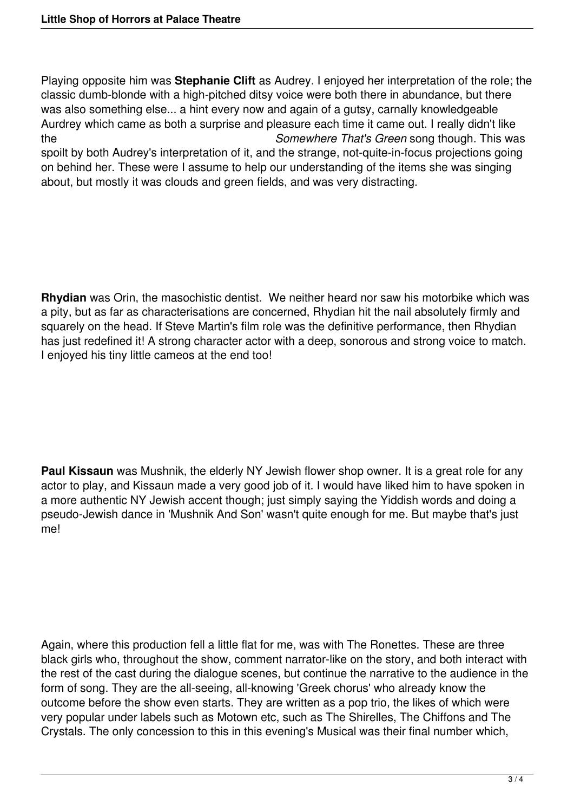Playing opposite him was **Stephanie Clift** as Audrey. I enjoyed her interpretation of the role; the classic dumb-blonde with a high-pitched ditsy voice were both there in abundance, but there was also something else... a hint every now and again of a gutsy, carnally knowledgeable Aurdrey which came as both a surprise and pleasure each time it came out. I really didn't like the *Somewhere That's Green* song though. This was spoilt by both Audrey's interpretation of it, and the strange, not-quite-in-focus projections going on behind her. These were I assume to help our understanding of the items she was singing about, but mostly it was clouds and green fields, and was very distracting.

**Rhydian** was Orin, the masochistic dentist. We neither heard nor saw his motorbike which was a pity, but as far as characterisations are concerned, Rhydian hit the nail absolutely firmly and squarely on the head. If Steve Martin's film role was the definitive performance, then Rhydian has just redefined it! A strong character actor with a deep, sonorous and strong voice to match. I enjoyed his tiny little cameos at the end too!

**Paul Kissaun** was Mushnik, the elderly NY Jewish flower shop owner. It is a great role for any actor to play, and Kissaun made a very good job of it. I would have liked him to have spoken in a more authentic NY Jewish accent though; just simply saying the Yiddish words and doing a pseudo-Jewish dance in 'Mushnik And Son' wasn't quite enough for me. But maybe that's just me!

Again, where this production fell a little flat for me, was with The Ronettes. These are three black girls who, throughout the show, comment narrator-like on the story, and both interact with the rest of the cast during the dialogue scenes, but continue the narrative to the audience in the form of song. They are the all-seeing, all-knowing 'Greek chorus' who already know the outcome before the show even starts. They are written as a pop trio, the likes of which were very popular under labels such as Motown etc, such as The Shirelles, The Chiffons and The Crystals. The only concession to this in this evening's Musical was their final number which,